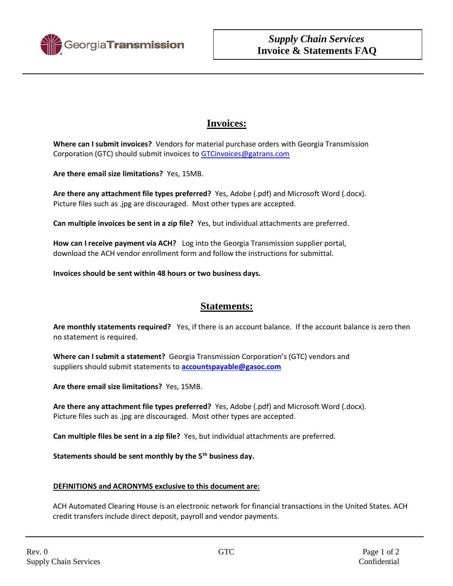

## **Invoices:**

**Where can I submit invoices?** Vendors for material purchase orders with Georgia Transmission Corporation (GTC) should submit invoices to [GTCinvoices@gatrans.com](mailto:GTCinvoices@gatrans.com)

**Are there email size limitations?** Yes, 15MB.

**Are there any attachment file types preferred?** Yes, Adobe (.pdf) and Microsoft Word (.docx). Picture files such as .jpg are discouraged. Most other types are accepted.

**Can multiple invoices be sent in a zip file?** Yes, but individual attachments are preferred.

**How can I receive payment via ACH?** Log into the Georgia Transmission supplier portal, download the ACH vendor enrollment form and follow the instructions for submittal.

**Invoices should be sent within 48 hours or two business days.**

## **Statements:**

**Are monthly statements required?** Yes, if there is an account balance. If the account balance is zero then no statement is required.

**Where can I submit a statement?** Georgia Transmission Corporation's (GTC) vendors and suppliers should submit statements to **[accountspayable@gasoc.com](mailto:accountspayable@gasoc.com)**

**Are there email size limitations?** Yes, 15MB.

**Are there any attachment file types preferred?** Yes, Adobe (.pdf) and Microsoft Word (.docx). Picture files such as .jpg are discouraged. Most other types are accepted.

**Can multiple files be sent in a zip file?** Yes, but individual attachments are preferred.

**Statements should be sent monthly by the 5th business day.** 

## **DEFINITIONS and ACRONYMS exclusive to this document are:**

ACH Automated Clearing House is an electronic network for financial transactions in the United States. ACH credit transfers include direct deposit, payroll and vendor payments.